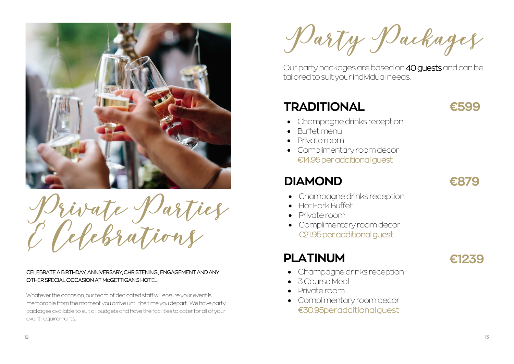

Private Parties & Celebrations

### CELEBRATE A BIRTHDAY, ANNIVERSARY, CHRISTENING , ENGAGEMENT AND ANY OTHER SPECIAL OCCASION AT McGETTIGAN'S HOTEL

Whatever the occasion, our team of dedicated staff will ensure your event is memorable from the moment you arrive until the time you depart. We have party packages available to suit all budgets and have the facilities to cater for all of your event requirements.

Party Packages

- Champagne drinks reception
- 3 Course Meal
- Private room
- Complimentary room decor €30.95 per additional quest

# **TRADITIONAL**

Our party packages are based on 40 guests and can be tailored to suit your individual needs.

## **DIAMOND**

# **PLATINUM**

- Champagne drinks reception
- Buffet menu
- Private room
- Complimentary room decor €14.95 per additional guest

- Champagne drinks reception
- Hot Fork Buffet
- Private room
- Complimentary room decor €21.95 per additional guest





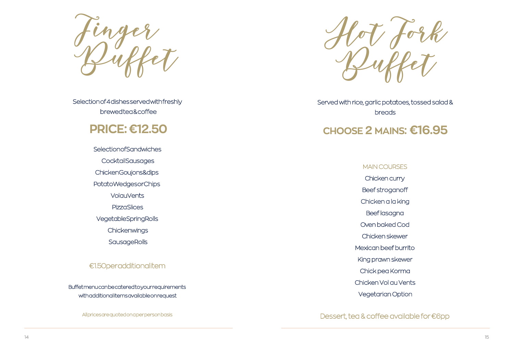

Served with rice, garlic potatoes, tossed salad & breads

finger<br>Duffet

Selection of 4 d ishes served with freshly brewed tea & coffee

## **PRI C E : €1 2 .50**

**Selection of Sandwiches Cocktail Sausages** Chicken Goujons&dips Potato Wedges or Chips **VolauVents PizzaSlices** Vegetable Spring Rolls Chickenwings **Sausage Rolls** 

### €1.50peradditionalitem

14<br>
14 15 Humanities are available on request<br>
24 Minices are quoted on a person basis<br>
24 Minices are quoted on a person basis<br>
24 Minices are quoted on a person basis<br>
24 Minices are quoted on a person basis<br>
24 Minice

Allpricesarequoted on a perperson basis

## **CH O O S E 2 MAINS : €1 6 .95**

MAIN COURSES

Chicken curry

Beef stroganoff

Chicken a la king

Beef lasagna

Oven baked Cod

Chicken skewer

Mexican beef burrito

King prawn skewer

Chick pea Korma

Chicken Vol au Vents

Vegetarian Option

Dessert, tea & coffee available fo r €6pp